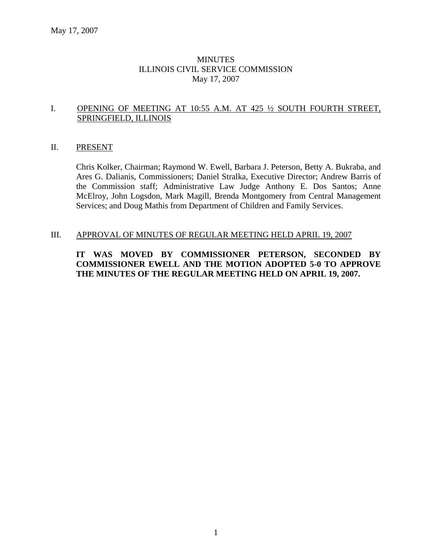# **MINUTES** ILLINOIS CIVIL SERVICE COMMISSION May 17, 2007

# I. OPENING OF MEETING AT 10:55 A.M. AT 425 ½ SOUTH FOURTH STREET, SPRINGFIELD, ILLINOIS

#### II. PRESENT

Chris Kolker, Chairman; Raymond W. Ewell, Barbara J. Peterson, Betty A. Bukraba, and Ares G. Dalianis, Commissioners; Daniel Stralka, Executive Director; Andrew Barris of the Commission staff; Administrative Law Judge Anthony E. Dos Santos; Anne McElroy, John Logsdon, Mark Magill, Brenda Montgomery from Central Management Services; and Doug Mathis from Department of Children and Family Services.

#### III. APPROVAL OF MINUTES OF REGULAR MEETING HELD APRIL 19, 2007

# **IT WAS MOVED BY COMMISSIONER PETERSON, SECONDED BY COMMISSIONER EWELL AND THE MOTION ADOPTED 5-0 TO APPROVE THE MINUTES OF THE REGULAR MEETING HELD ON APRIL 19, 2007.**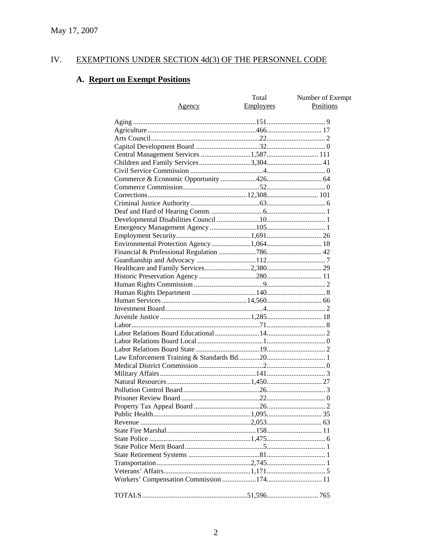#### IV. **EXEMPTIONS UNDER SECTION 4d(3) OF THE PERSONNEL CODE**

# A. Report on Exempt Positions

| Agency                                   | Total<br>Employees | Number of Exempt<br><b>Positions</b> |
|------------------------------------------|--------------------|--------------------------------------|
|                                          |                    |                                      |
|                                          |                    |                                      |
|                                          |                    |                                      |
|                                          |                    |                                      |
| Central Management Services 1,587 111    |                    |                                      |
|                                          |                    |                                      |
|                                          |                    |                                      |
|                                          |                    |                                      |
|                                          |                    |                                      |
|                                          |                    |                                      |
|                                          |                    |                                      |
|                                          |                    |                                      |
|                                          |                    |                                      |
|                                          |                    |                                      |
|                                          |                    |                                      |
| Environmental Protection Agency 1,064 18 |                    |                                      |
|                                          |                    |                                      |
|                                          |                    |                                      |
|                                          |                    |                                      |
|                                          |                    |                                      |
|                                          |                    |                                      |
|                                          |                    |                                      |
|                                          |                    |                                      |
|                                          |                    |                                      |
|                                          |                    |                                      |
|                                          |                    |                                      |
|                                          |                    |                                      |
|                                          |                    |                                      |
|                                          |                    |                                      |
|                                          |                    |                                      |
|                                          |                    |                                      |
|                                          |                    |                                      |
|                                          |                    |                                      |
|                                          |                    |                                      |
|                                          |                    |                                      |
|                                          |                    |                                      |
|                                          |                    |                                      |
|                                          |                    |                                      |
|                                          |                    |                                      |
|                                          |                    |                                      |
|                                          |                    |                                      |
|                                          |                    |                                      |
|                                          |                    |                                      |
|                                          |                    |                                      |
|                                          |                    |                                      |
|                                          |                    |                                      |
|                                          |                    |                                      |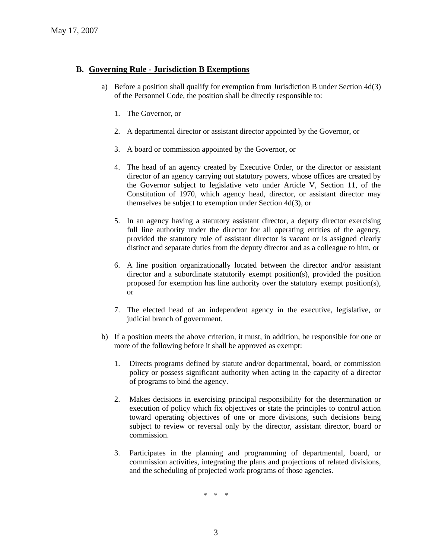#### **B. Governing Rule - Jurisdiction B Exemptions**

- a) Before a position shall qualify for exemption from Jurisdiction B under Section 4d(3) of the Personnel Code, the position shall be directly responsible to:
	- 1. The Governor, or
	- 2. A departmental director or assistant director appointed by the Governor, or
	- 3. A board or commission appointed by the Governor, or
	- 4. The head of an agency created by Executive Order, or the director or assistant director of an agency carrying out statutory powers, whose offices are created by the Governor subject to legislative veto under Article V, Section 11, of the Constitution of 1970, which agency head, director, or assistant director may themselves be subject to exemption under Section 4d(3), or
	- 5. In an agency having a statutory assistant director, a deputy director exercising full line authority under the director for all operating entities of the agency, provided the statutory role of assistant director is vacant or is assigned clearly distinct and separate duties from the deputy director and as a colleague to him, or
	- 6. A line position organizationally located between the director and/or assistant director and a subordinate statutorily exempt position(s), provided the position proposed for exemption has line authority over the statutory exempt position(s), or
	- 7. The elected head of an independent agency in the executive, legislative, or judicial branch of government.
- b) If a position meets the above criterion, it must, in addition, be responsible for one or more of the following before it shall be approved as exempt:
	- 1. Directs programs defined by statute and/or departmental, board, or commission policy or possess significant authority when acting in the capacity of a director of programs to bind the agency.
	- 2. Makes decisions in exercising principal responsibility for the determination or execution of policy which fix objectives or state the principles to control action toward operating objectives of one or more divisions, such decisions being subject to review or reversal only by the director, assistant director, board or commission.
	- 3. Participates in the planning and programming of departmental, board, or commission activities, integrating the plans and projections of related divisions, and the scheduling of projected work programs of those agencies.

\* \* \*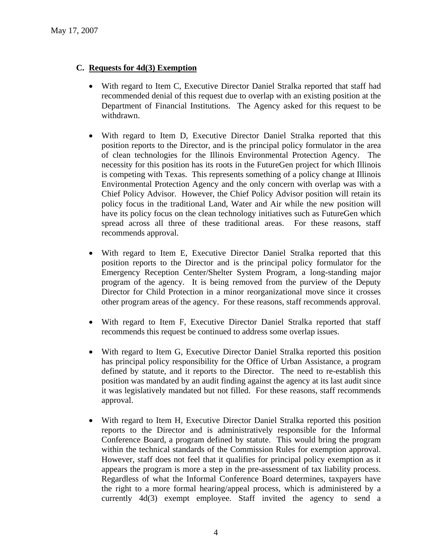# **C. Requests for 4d(3) Exemption**

- With regard to Item C, Executive Director Daniel Stralka reported that staff had recommended denial of this request due to overlap with an existing position at the Department of Financial Institutions. The Agency asked for this request to be withdrawn.
- With regard to Item D, Executive Director Daniel Stralka reported that this position reports to the Director, and is the principal policy formulator in the area of clean technologies for the Illinois Environmental Protection Agency. The necessity for this position has its roots in the FutureGen project for which Illinois is competing with Texas. This represents something of a policy change at Illinois Environmental Protection Agency and the only concern with overlap was with a Chief Policy Advisor. However, the Chief Policy Advisor position will retain its policy focus in the traditional Land, Water and Air while the new position will have its policy focus on the clean technology initiatives such as FutureGen which spread across all three of these traditional areas. For these reasons, staff recommends approval.
- With regard to Item E, Executive Director Daniel Stralka reported that this position reports to the Director and is the principal policy formulator for the Emergency Reception Center/Shelter System Program, a long-standing major program of the agency. It is being removed from the purview of the Deputy Director for Child Protection in a minor reorganizational move since it crosses other program areas of the agency. For these reasons, staff recommends approval.
- With regard to Item F, Executive Director Daniel Stralka reported that staff recommends this request be continued to address some overlap issues.
- With regard to Item G, Executive Director Daniel Stralka reported this position has principal policy responsibility for the Office of Urban Assistance, a program defined by statute, and it reports to the Director. The need to re-establish this position was mandated by an audit finding against the agency at its last audit since it was legislatively mandated but not filled. For these reasons, staff recommends approval.
- With regard to Item H, Executive Director Daniel Stralka reported this position reports to the Director and is administratively responsible for the Informal Conference Board, a program defined by statute. This would bring the program within the technical standards of the Commission Rules for exemption approval. However, staff does not feel that it qualifies for principal policy exemption as it appears the program is more a step in the pre-assessment of tax liability process. Regardless of what the Informal Conference Board determines, taxpayers have the right to a more formal hearing/appeal process, which is administered by a currently 4d(3) exempt employee. Staff invited the agency to send a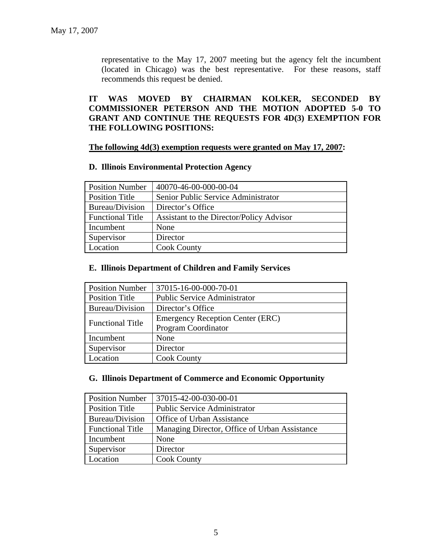representative to the May 17, 2007 meeting but the agency felt the incumbent (located in Chicago) was the best representative. For these reasons, staff recommends this request be denied.

# **IT WAS MOVED BY CHAIRMAN KOLKER, SECONDED BY COMMISSIONER PETERSON AND THE MOTION ADOPTED 5-0 TO GRANT AND CONTINUE THE REQUESTS FOR 4D(3) EXEMPTION FOR THE FOLLOWING POSITIONS:**

#### **The following 4d(3) exemption requests were granted on May 17, 2007:**

#### **D. Illinois Environmental Protection Agency**

| <b>Position Number</b>  | 40070-46-00-000-00-04                    |
|-------------------------|------------------------------------------|
| <b>Position Title</b>   | Senior Public Service Administrator      |
| Bureau/Division         | Director's Office                        |
| <b>Functional Title</b> | Assistant to the Director/Policy Advisor |
| Incumbent               | None                                     |
| Supervisor              | Director                                 |
| Location                | <b>Cook County</b>                       |

# **E. Illinois Department of Children and Family Services**

| <b>Position Number</b>  | 37015-16-00-000-70-01                   |
|-------------------------|-----------------------------------------|
| <b>Position Title</b>   | <b>Public Service Administrator</b>     |
| Bureau/Division         | Director's Office                       |
| <b>Functional Title</b> | <b>Emergency Reception Center (ERC)</b> |
|                         | <b>Program Coordinator</b>              |
| Incumbent               | None                                    |
| Supervisor              | Director                                |
| Location                | <b>Cook County</b>                      |

#### **G. Illinois Department of Commerce and Economic Opportunity**

| <b>Position Number</b>  | 37015-42-00-030-00-01                         |
|-------------------------|-----------------------------------------------|
| <b>Position Title</b>   | <b>Public Service Administrator</b>           |
| Bureau/Division         | Office of Urban Assistance                    |
| <b>Functional Title</b> | Managing Director, Office of Urban Assistance |
| Incumbent               | None                                          |
| Supervisor              | Director                                      |
| Location                | <b>Cook County</b>                            |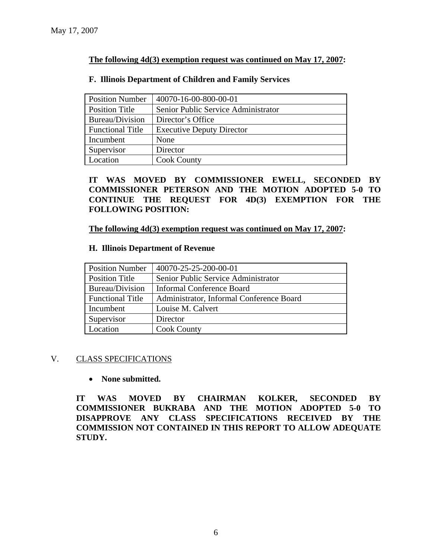# **The following 4d(3) exemption request was continued on May 17, 2007:**

| <b>Position Number</b>  | 40070-16-00-800-00-01               |
|-------------------------|-------------------------------------|
| <b>Position Title</b>   | Senior Public Service Administrator |
| Bureau/Division         | Director's Office                   |
| <b>Functional Title</b> | <b>Executive Deputy Director</b>    |
| Incumbent               | None                                |
| Supervisor              | Director                            |
| Location                | <b>Cook County</b>                  |

# **F. Illinois Department of Children and Family Services**

**IT WAS MOVED BY COMMISSIONER EWELL, SECONDED BY COMMISSIONER PETERSON AND THE MOTION ADOPTED 5-0 TO CONTINUE THE REQUEST FOR 4D(3) EXEMPTION FOR THE FOLLOWING POSITION:** 

#### **The following 4d(3) exemption request was continued on May 17, 2007:**

# **H. Illinois Department of Revenue**

| <b>Position Number</b>  | 40070-25-25-200-00-01                    |
|-------------------------|------------------------------------------|
| <b>Position Title</b>   | Senior Public Service Administrator      |
| Bureau/Division         | Informal Conference Board                |
| <b>Functional Title</b> | Administrator, Informal Conference Board |
| Incumbent               | Louise M. Calvert                        |
| Supervisor              | Director                                 |
| Location                | <b>Cook County</b>                       |

#### V. CLASS SPECIFICATIONS

#### • **None submitted.**

**IT WAS MOVED BY CHAIRMAN KOLKER, SECONDED BY COMMISSIONER BUKRABA AND THE MOTION ADOPTED 5-0 TO DISAPPROVE ANY CLASS SPECIFICATIONS RECEIVED BY THE COMMISSION NOT CONTAINED IN THIS REPORT TO ALLOW ADEQUATE STUDY.**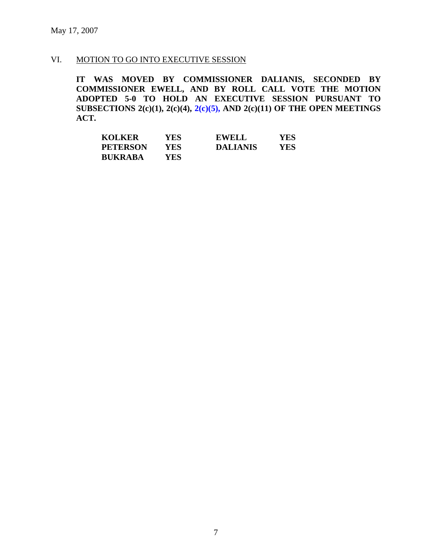# VI. MOTION TO GO INTO EXECUTIVE SESSION

**IT WAS MOVED BY COMMISSIONER DALIANIS, SECONDED BY COMMISSIONER EWELL, AND BY ROLL CALL VOTE THE MOTION ADOPTED 5-0 TO HOLD AN EXECUTIVE SESSION PURSUANT TO SUBSECTIONS 2(c)(1), 2(c)(4), 2(c)(5), AND 2(c)(11) OF THE OPEN MEETINGS ACT.** 

| <b>KOLKER</b>   | YES | EWELL           | YES |
|-----------------|-----|-----------------|-----|
| <b>PETERSON</b> | YES | <b>DALIANIS</b> | YES |
| <b>BUKRABA</b>  | YES |                 |     |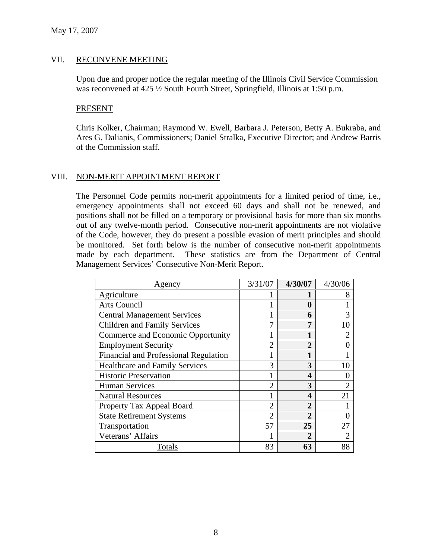# VII. RECONVENE MEETING

Upon due and proper notice the regular meeting of the Illinois Civil Service Commission was reconvened at 425  $\frac{1}{2}$  South Fourth Street, Springfield, Illinois at 1:50 p.m.

#### PRESENT

Chris Kolker, Chairman; Raymond W. Ewell, Barbara J. Peterson, Betty A. Bukraba, and Ares G. Dalianis, Commissioners; Daniel Stralka, Executive Director; and Andrew Barris of the Commission staff.

# VIII. NON-MERIT APPOINTMENT REPORT

The Personnel Code permits non-merit appointments for a limited period of time, i.e., emergency appointments shall not exceed 60 days and shall not be renewed, and positions shall not be filled on a temporary or provisional basis for more than six months out of any twelve-month period. Consecutive non-merit appointments are not violative of the Code, however, they do present a possible evasion of merit principles and should be monitored. Set forth below is the number of consecutive non-merit appointments made by each department. These statistics are from the Department of Central Management Services' Consecutive Non-Merit Report.

| Agency                                | 3/31/07        | 4/30/07        | 4/30/06        |
|---------------------------------------|----------------|----------------|----------------|
| Agriculture                           |                |                | 8              |
| Arts Council                          |                | 0              |                |
| <b>Central Management Services</b>    |                | 6              | 3              |
| <b>Children and Family Services</b>   |                | 7              | 10             |
| Commerce and Economic Opportunity     |                |                | 2              |
| <b>Employment Security</b>            | $\mathcal{D}$  | $\overline{2}$ |                |
| Financial and Professional Regulation |                |                |                |
| <b>Healthcare and Family Services</b> | 3              | 3              | 10             |
| <b>Historic Preservation</b>          |                | 4              |                |
| <b>Human Services</b>                 | $\overline{2}$ | 3              | $\overline{2}$ |
| <b>Natural Resources</b>              |                | 4              | 21             |
| Property Tax Appeal Board             | $\overline{2}$ | $\overline{2}$ |                |
| <b>State Retirement Systems</b>       | $\overline{2}$ | $\overline{2}$ |                |
| Transportation                        | 57             | 25             | 27             |
| Veterans' Affairs                     |                | 2              | $\mathfrak{D}$ |
| Totals                                | 83             | 63             | 88             |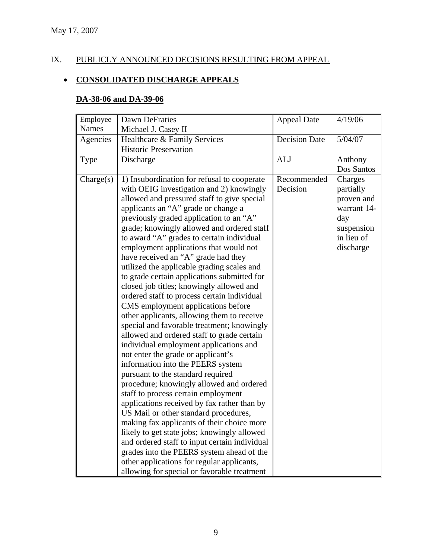# IX. PUBLICLY ANNOUNCED DECISIONS RESULTING FROM APPEAL

# • **CONSOLIDATED DISCHARGE APPEALS**

# **DA-38-06 and DA-39-06**

| Employee           | <b>Dawn DeFraties</b>                                                                                                                                                                                                                                                                                                                                                                                                                                                                                                                                                                                                                                                                                                                                                                                                                                        | <b>Appeal Date</b>      | 4/19/06                                                                                           |
|--------------------|--------------------------------------------------------------------------------------------------------------------------------------------------------------------------------------------------------------------------------------------------------------------------------------------------------------------------------------------------------------------------------------------------------------------------------------------------------------------------------------------------------------------------------------------------------------------------------------------------------------------------------------------------------------------------------------------------------------------------------------------------------------------------------------------------------------------------------------------------------------|-------------------------|---------------------------------------------------------------------------------------------------|
| <b>Names</b>       | Michael J. Casey II                                                                                                                                                                                                                                                                                                                                                                                                                                                                                                                                                                                                                                                                                                                                                                                                                                          |                         |                                                                                                   |
| Agencies           | Healthcare & Family Services                                                                                                                                                                                                                                                                                                                                                                                                                                                                                                                                                                                                                                                                                                                                                                                                                                 | <b>Decision Date</b>    | 5/04/07                                                                                           |
|                    | <b>Historic Preservation</b>                                                                                                                                                                                                                                                                                                                                                                                                                                                                                                                                                                                                                                                                                                                                                                                                                                 |                         |                                                                                                   |
| Type               | Discharge                                                                                                                                                                                                                                                                                                                                                                                                                                                                                                                                                                                                                                                                                                                                                                                                                                                    | <b>ALJ</b>              | Anthony                                                                                           |
|                    |                                                                                                                                                                                                                                                                                                                                                                                                                                                                                                                                                                                                                                                                                                                                                                                                                                                              |                         | Dos Santos                                                                                        |
| $\text{Change}(s)$ | 1) Insubordination for refusal to cooperate<br>with OEIG investigation and 2) knowingly<br>allowed and pressured staff to give special<br>applicants an "A" grade or change a<br>previously graded application to an "A"<br>grade; knowingly allowed and ordered staff<br>to award "A" grades to certain individual<br>employment applications that would not<br>have received an "A" grade had they<br>utilized the applicable grading scales and<br>to grade certain applications submitted for<br>closed job titles; knowingly allowed and<br>ordered staff to process certain individual<br>CMS employment applications before<br>other applicants, allowing them to receive<br>special and favorable treatment; knowingly<br>allowed and ordered staff to grade certain<br>individual employment applications and<br>not enter the grade or applicant's | Recommended<br>Decision | Charges<br>partially<br>proven and<br>warrant 14-<br>day<br>suspension<br>in lieu of<br>discharge |
|                    | information into the PEERS system<br>pursuant to the standard required                                                                                                                                                                                                                                                                                                                                                                                                                                                                                                                                                                                                                                                                                                                                                                                       |                         |                                                                                                   |
|                    | procedure; knowingly allowed and ordered                                                                                                                                                                                                                                                                                                                                                                                                                                                                                                                                                                                                                                                                                                                                                                                                                     |                         |                                                                                                   |
|                    | staff to process certain employment                                                                                                                                                                                                                                                                                                                                                                                                                                                                                                                                                                                                                                                                                                                                                                                                                          |                         |                                                                                                   |
|                    | applications received by fax rather than by                                                                                                                                                                                                                                                                                                                                                                                                                                                                                                                                                                                                                                                                                                                                                                                                                  |                         |                                                                                                   |
|                    | US Mail or other standard procedures,                                                                                                                                                                                                                                                                                                                                                                                                                                                                                                                                                                                                                                                                                                                                                                                                                        |                         |                                                                                                   |
|                    | making fax applicants of their choice more                                                                                                                                                                                                                                                                                                                                                                                                                                                                                                                                                                                                                                                                                                                                                                                                                   |                         |                                                                                                   |
|                    | likely to get state jobs; knowingly allowed                                                                                                                                                                                                                                                                                                                                                                                                                                                                                                                                                                                                                                                                                                                                                                                                                  |                         |                                                                                                   |
|                    | and ordered staff to input certain individual                                                                                                                                                                                                                                                                                                                                                                                                                                                                                                                                                                                                                                                                                                                                                                                                                |                         |                                                                                                   |
|                    | grades into the PEERS system ahead of the                                                                                                                                                                                                                                                                                                                                                                                                                                                                                                                                                                                                                                                                                                                                                                                                                    |                         |                                                                                                   |
|                    | other applications for regular applicants,                                                                                                                                                                                                                                                                                                                                                                                                                                                                                                                                                                                                                                                                                                                                                                                                                   |                         |                                                                                                   |
|                    | allowing for special or favorable treatment                                                                                                                                                                                                                                                                                                                                                                                                                                                                                                                                                                                                                                                                                                                                                                                                                  |                         |                                                                                                   |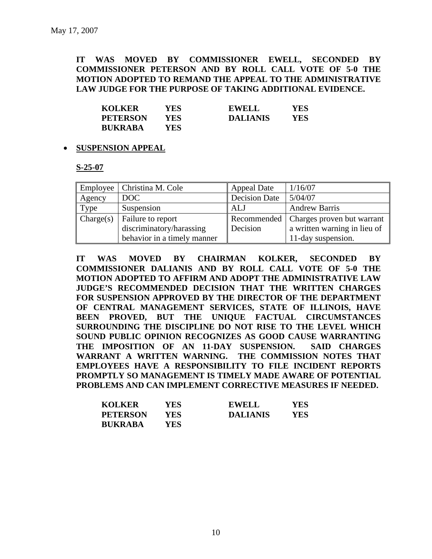**IT WAS MOVED BY COMMISSIONER EWELL, SECONDED BY COMMISSIONER PETERSON AND BY ROLL CALL VOTE OF 5-0 THE MOTION ADOPTED TO REMAND THE APPEAL TO THE ADMINISTRATIVE LAW JUDGE FOR THE PURPOSE OF TAKING ADDITIONAL EVIDENCE.** 

| <b>KOLKER</b>   | YES. | <b>EWELL</b>    | YES |
|-----------------|------|-----------------|-----|
| <b>PETERSON</b> | YES  | <b>DALIANIS</b> | YES |
| <b>BUKRABA</b>  | YES  |                 |     |

#### • **SUSPENSION APPEAL**

#### **S-25-07**

|           | Employee   Christina M. Cole | <b>Appeal Date</b> | 1/16/07                                  |
|-----------|------------------------------|--------------------|------------------------------------------|
| Agency    | DOC                          | Decision Date      | 5/04/07                                  |
| Type      | Suspension                   | <b>ALJ</b>         | <b>Andrew Barris</b>                     |
| Change(s) | Failure to report            |                    | Recommended   Charges proven but warrant |
|           | discriminatory/harassing     | Decision           | a written warning in lieu of             |
|           | behavior in a timely manner  |                    | 11-day suspension.                       |

**IT WAS MOVED BY CHAIRMAN KOLKER, SECONDED BY COMMISSIONER DALIANIS AND BY ROLL CALL VOTE OF 5-0 THE MOTION ADOPTED TO AFFIRM AND ADOPT THE ADMINISTRATIVE LAW JUDGE'S RECOMMENDED DECISION THAT THE WRITTEN CHARGES FOR SUSPENSION APPROVED BY THE DIRECTOR OF THE DEPARTMENT OF CENTRAL MANAGEMENT SERVICES, STATE OF ILLINOIS, HAVE BEEN PROVED, BUT THE UNIQUE FACTUAL CIRCUMSTANCES SURROUNDING THE DISCIPLINE DO NOT RISE TO THE LEVEL WHICH SOUND PUBLIC OPINION RECOGNIZES AS GOOD CAUSE WARRANTING THE IMPOSITION OF AN 11-DAY SUSPENSION. SAID CHARGES WARRANT A WRITTEN WARNING. THE COMMISSION NOTES THAT EMPLOYEES HAVE A RESPONSIBILITY TO FILE INCIDENT REPORTS PROMPTLY SO MANAGEMENT IS TIMELY MADE AWARE OF POTENTIAL PROBLEMS AND CAN IMPLEMENT CORRECTIVE MEASURES IF NEEDED.** 

| <b>KOLKER</b>   | YES | <b>EWELL</b>    | YES |
|-----------------|-----|-----------------|-----|
| <b>PETERSON</b> | YES | <b>DALIANIS</b> | YES |
| <b>BUKRABA</b>  | YES |                 |     |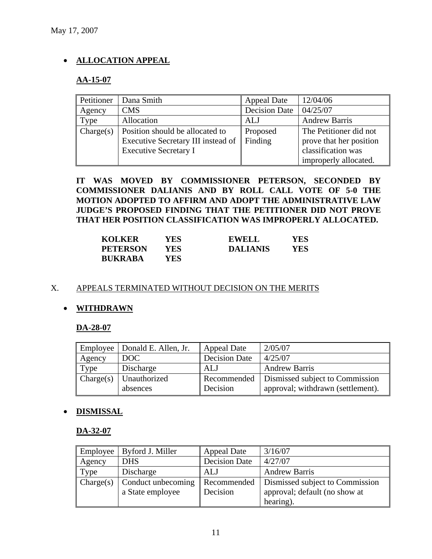# • **ALLOCATION APPEAL**

# **AA-15-07**

| Petitioner | Dana Smith                         | <b>Appeal Date</b>   | 12/04/06                |
|------------|------------------------------------|----------------------|-------------------------|
| Agency     | <b>CMS</b>                         | <b>Decision Date</b> | 04/25/07                |
| Type       | Allocation                         | <b>ALJ</b>           | <b>Andrew Barris</b>    |
| Change(s)  | Position should be allocated to    | Proposed             | The Petitioner did not  |
|            | Executive Secretary III instead of | Finding              | prove that her position |
|            | <b>Executive Secretary I</b>       |                      | classification was      |
|            |                                    |                      | improperly allocated.   |

**IT WAS MOVED BY COMMISSIONER PETERSON, SECONDED BY COMMISSIONER DALIANIS AND BY ROLL CALL VOTE OF 5-0 THE MOTION ADOPTED TO AFFIRM AND ADOPT THE ADMINISTRATIVE LAW JUDGE'S PROPOSED FINDING THAT THE PETITIONER DID NOT PROVE THAT HER POSITION CLASSIFICATION WAS IMPROPERLY ALLOCATED.** 

| <b>KOLKER</b>   | YES        | EWELL           | YES |
|-----------------|------------|-----------------|-----|
| <b>PETERSON</b> | <b>YES</b> | <b>DALIANIS</b> | YES |
| <b>BUKRABA</b>  | YES        |                 |     |

# X. APPEALS TERMINATED WITHOUT DECISION ON THE MERITS

# • **WITHDRAWN**

# **DA-28-07**

|           | Employee   Donald E. Allen, Jr. | <b>Appeal Date</b>   | 2/05/07                                       |
|-----------|---------------------------------|----------------------|-----------------------------------------------|
| Agency    | DOC                             | <b>Decision Date</b> | 4/25/07                                       |
| Type      | Discharge                       | ALJ                  | <b>Andrew Barris</b>                          |
| Change(s) | Unauthorized                    |                      | Recommended   Dismissed subject to Commission |
|           | absences                        | Decision             | approval; withdrawn (settlement).             |

# • **DISMISSAL**

**DA-32-07**

| Employee    | Byford J. Miller   | <b>Appeal Date</b>   | 3/16/07                         |
|-------------|--------------------|----------------------|---------------------------------|
| Agency      | <b>DHS</b>         | <b>Decision Date</b> | 4/27/07                         |
| <b>Type</b> | Discharge          | ALJ                  | <b>Andrew Barris</b>            |
| Change(s)   | Conduct unbecoming | Recommended          | Dismissed subject to Commission |
|             | a State employee   | Decision             | approval; default (no show at   |
|             |                    |                      | hearing).                       |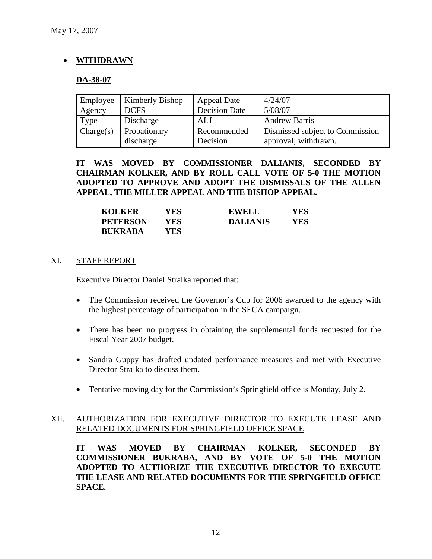# • **WITHDRAWN**

### **DA-38-07**

| Employee  | Kimberly Bishop | <b>Appeal Date</b>   | 4/24/07                         |
|-----------|-----------------|----------------------|---------------------------------|
| Agency    | <b>DCFS</b>     | <b>Decision Date</b> | 5/08/07                         |
| Type      | Discharge       | <b>ALJ</b>           | <b>Andrew Barris</b>            |
| Change(s) | Probationary    | Recommended          | Dismissed subject to Commission |
|           | discharge       | Decision             | approval; withdrawn.            |

**IT WAS MOVED BY COMMISSIONER DALIANIS, SECONDED BY CHAIRMAN KOLKER, AND BY ROLL CALL VOTE OF 5-0 THE MOTION ADOPTED TO APPROVE AND ADOPT THE DISMISSALS OF THE ALLEN APPEAL, THE MILLER APPEAL AND THE BISHOP APPEAL.** 

| <b>KOLKER</b>   | YES | <b>EWELL</b>    | YES |
|-----------------|-----|-----------------|-----|
| <b>PETERSON</b> | YES | <b>DALIANIS</b> | YES |
| <b>BUKRABA</b>  | YES |                 |     |

#### XI. STAFF REPORT

Executive Director Daniel Stralka reported that:

- The Commission received the Governor's Cup for 2006 awarded to the agency with the highest percentage of participation in the SECA campaign.
- There has been no progress in obtaining the supplemental funds requested for the Fiscal Year 2007 budget.
- Sandra Guppy has drafted updated performance measures and met with Executive Director Stralka to discuss them.
- Tentative moving day for the Commission's Springfield office is Monday, July 2.

# XII. AUTHORIZATION FOR EXECUTIVE DIRECTOR TO EXECUTE LEASE AND RELATED DOCUMENTS FOR SPRINGFIELD OFFICE SPACE

**IT WAS MOVED BY CHAIRMAN KOLKER, SECONDED BY COMMISSIONER BUKRABA, AND BY VOTE OF 5-0 THE MOTION ADOPTED TO AUTHORIZE THE EXECUTIVE DIRECTOR TO EXECUTE THE LEASE AND RELATED DOCUMENTS FOR THE SPRINGFIELD OFFICE SPACE.**